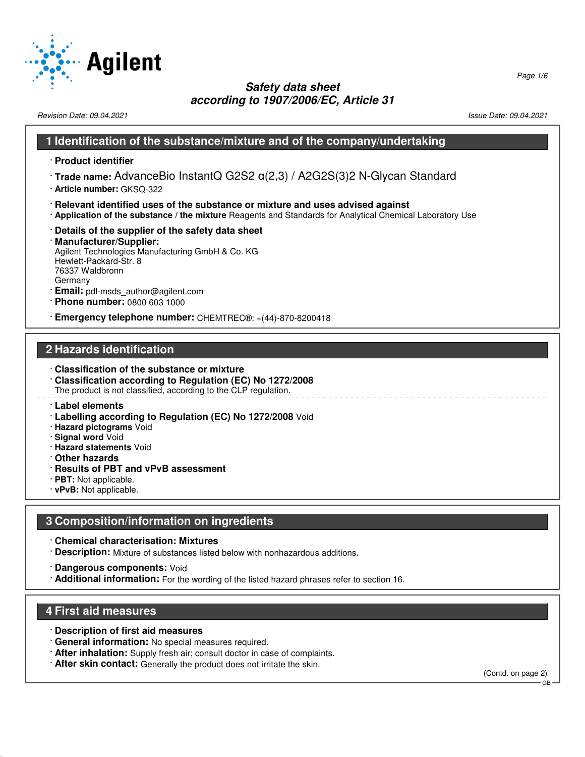

Revision Date: 09.04.2021 2012 12:03 12:04 2021 2021 20:04:09:04 20:04 20:04 20:04 20:04 20:04 20:04 20:04 20:0

### **1 Identification of the substance/mixture and of the company/undertaking**

- · **Product identifier**
- · **Trade name:** AdvanceBio InstantQ G2S2 α(2,3) / A2G2S(3)2 N-Glycan Standard
- · **Article number:** GKSQ-322
- · **Relevant identified uses of the substance or mixture and uses advised against**
- · **Application of the substance / the mixture** Reagents and Standards for Analytical Chemical Laboratory Use
- · **Details of the supplier of the safety data sheet**

#### · **Manufacturer/Supplier:** Agilent Technologies Manufacturing GmbH & Co. KG Hewlett-Packard-Str. 8 76337 Waldbronn Germany

- · **Email:** pdl-msds\_author@agilent.com
- · **Phone number:** 0800 603 1000

· **Emergency telephone number:** CHEMTREC®: +(44)-870-8200418

# **2 Hazards identification**

- · **Classification of the substance or mixture** · **Classification according to Regulation (EC) No 1272/2008** The product is not classified, according to the CLP regulation.
- · **Label elements**
- · **Labelling according to Regulation (EC) No 1272/2008** Void
- · **Hazard pictograms** Void
- · **Signal word** Void
- · **Hazard statements** Void
- · **Other hazards**
- · **Results of PBT and vPvB assessment**
- · **PBT:** Not applicable.
- · **vPvB:** Not applicable.

### **3 Composition/information on ingredients**

- · **Chemical characterisation: Mixtures**
- · **Description:** Mixture of substances listed below with nonhazardous additions.
- · **Dangerous components:** Void
- · **Additional information:** For the wording of the listed hazard phrases refer to section 16.

### **4 First aid measures**

52.0.1.1

- · **Description of first aid measures**
- · **General information:** No special measures required.
- · **After inhalation:** Supply fresh air; consult doctor in case of complaints.
- · **After skin contact:** Generally the product does not irritate the skin.

(Contd. on page 2) GB

Page 1/6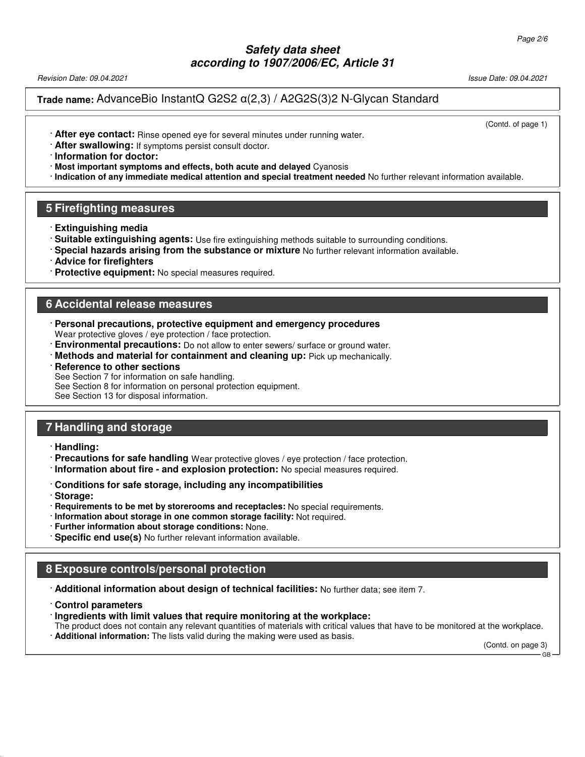Revision Date: 09.04.2021 Issue Date: 09.04.2021

**Trade name:** AdvanceBio InstantQ G2S2 α(2,3) / A2G2S(3)2 N-Glycan Standard

(Contd. of page 1)

- · **After eye contact:** Rinse opened eye for several minutes under running water.
- · **After swallowing:** If symptoms persist consult doctor.

· **Information for doctor:**

- · **Most important symptoms and effects, both acute and delayed** Cyanosis
- · **Indication of any immediate medical attention and special treatment needed** No further relevant information available.

### **5 Firefighting measures**

- · **Extinguishing media**
- · **Suitable extinguishing agents:** Use fire extinguishing methods suitable to surrounding conditions.
- · **Special hazards arising from the substance or mixture** No further relevant information available.
- · **Advice for firefighters**
- · **Protective equipment:** No special measures required.

### **6 Accidental release measures**

- · **Personal precautions, protective equipment and emergency procedures** Wear protective gloves / eye protection / face protection.
- · **Environmental precautions:** Do not allow to enter sewers/ surface or ground water.
- · **Methods and material for containment and cleaning up:** Pick up mechanically.

#### **Reference to other sections**

See Section 7 for information on safe handling.

See Section 8 for information on personal protection equipment.

See Section 13 for disposal information.

### **7 Handling and storage**

- · **Handling:**
- · **Precautions for safe handling** Wear protective gloves / eye protection / face protection.
- · **Information about fire and explosion protection:** No special measures required.
- · **Conditions for safe storage, including any incompatibilities**
- · **Storage:**

52.0.1.1

- · **Requirements to be met by storerooms and receptacles:** No special requirements.
- · **Information about storage in one common storage facility:** Not required.
- · **Further information about storage conditions:** None.
- · **Specific end use(s)** No further relevant information available.

### **8 Exposure controls/personal protection**

- · **Additional information about design of technical facilities:** No further data; see item 7.
- · **Control parameters**
- · **Ingredients with limit values that require monitoring at the workplace:**
- The product does not contain any relevant quantities of materials with critical values that have to be monitored at the workplace.
- · **Additional information:** The lists valid during the making were used as basis.

(Contd. on page 3) GB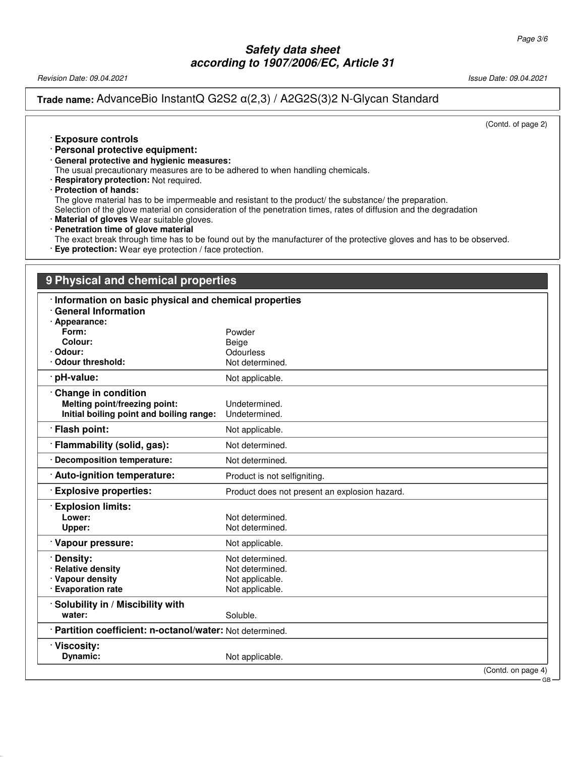Revision Date: 09.04.2021 2021 2021 20:04.2021 20:04.2021 20:04.2021 20:04.2021 20:04.2021

### **Trade name:** AdvanceBio InstantQ G2S2 α(2,3) / A2G2S(3)2 N-Glycan Standard

(Contd. of page 2)

#### · **Exposure controls**

- · **Personal protective equipment:**
- · **General protective and hygienic measures:**
- The usual precautionary measures are to be adhered to when handling chemicals.
- · **Respiratory protection:** Not required.
- · **Protection of hands:**

52.0.1.1

The glove material has to be impermeable and resistant to the product/ the substance/ the preparation.

Selection of the glove material on consideration of the penetration times, rates of diffusion and the degradation

- · **Material of gloves** Wear suitable gloves.
- · **Penetration time of glove material**

The exact break through time has to be found out by the manufacturer of the protective gloves and has to be observed. · **Eye protection:** Wear eye protection / face protection.

### **9 Physical and chemical properties**

| Information on basic physical and chemical properties     |                                               |  |
|-----------------------------------------------------------|-----------------------------------------------|--|
| <b>General Information</b>                                |                                               |  |
| · Appearance:<br>Form:                                    | Powder                                        |  |
| Colour:                                                   | Beige                                         |  |
| · Odour:                                                  | Odourless                                     |  |
| Odour threshold:                                          | Not determined.                               |  |
| · pH-value:                                               | Not applicable.                               |  |
| Change in condition                                       |                                               |  |
| Melting point/freezing point:                             | Undetermined.                                 |  |
| Initial boiling point and boiling range:                  | Undetermined.                                 |  |
| · Flash point:                                            | Not applicable.                               |  |
| · Flammability (solid, gas):                              | Not determined.                               |  |
| · Decomposition temperature:                              | Not determined.                               |  |
| : Auto-ignition temperature:                              | Product is not selfigniting.                  |  |
| <b>Explosive properties:</b>                              | Product does not present an explosion hazard. |  |
| <b>Explosion limits:</b>                                  |                                               |  |
| Lower:                                                    | Not determined.                               |  |
| Upper:                                                    | Not determined.                               |  |
| Vapour pressure:                                          | Not applicable.                               |  |
| · Density:                                                | Not determined.                               |  |
| · Relative density                                        | Not determined.                               |  |
| · Vapour density                                          | Not applicable.                               |  |
| · Evaporation rate                                        | Not applicable.                               |  |
| Solubility in / Miscibility with                          |                                               |  |
| water:                                                    | Soluble.                                      |  |
| · Partition coefficient: n-octanol/water: Not determined. |                                               |  |
| Viscosity:                                                |                                               |  |
| Dynamic:                                                  | Not applicable.                               |  |
|                                                           | (Contd. on page 4)                            |  |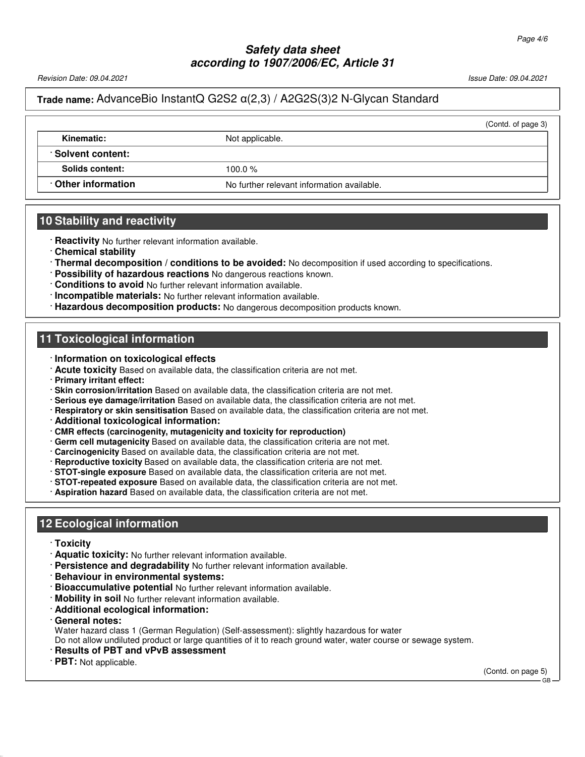Revision Date: 09.04.2021 2012 12:00:00 12:00 12:00 12:00 12:00 12:00 12:00 12:00 12:00 13:00 13:00 13:00 13:00 13:00 13:00 13:00 13:00 13:00 13:00 13:00 13:00 13:00 13:00 13:00 13:00 13:00 13:00 13:00 13:00 13:00 13:00 13

## **Trade name:** AdvanceBio InstantQ G2S2 α(2,3) / A2G2S(3)2 N-Glycan Standard

|                          |                                            | (Contd. of page 3) |
|--------------------------|--------------------------------------------|--------------------|
| Kinematic:               | Not applicable.                            |                    |
| <b>∴Solvent content:</b> |                                            |                    |
| Solids content:          | 100.0 $%$                                  |                    |
| Other information        | No further relevant information available. |                    |
|                          |                                            |                    |

### **10 Stability and reactivity**

- · **Reactivity** No further relevant information available.
- · **Chemical stability**
- · **Thermal decomposition / conditions to be avoided:** No decomposition if used according to specifications.
- · **Possibility of hazardous reactions** No dangerous reactions known.
- · **Conditions to avoid** No further relevant information available.
- · **Incompatible materials:** No further relevant information available.
- · **Hazardous decomposition products:** No dangerous decomposition products known.

### **11 Toxicological information**

- · **Information on toxicological effects**
- · **Acute toxicity** Based on available data, the classification criteria are not met.
- · **Primary irritant effect:**
- · **Skin corrosion/irritation** Based on available data, the classification criteria are not met.
- · **Serious eye damage/irritation** Based on available data, the classification criteria are not met.
- · **Respiratory or skin sensitisation** Based on available data, the classification criteria are not met.
- · **Additional toxicological information:**
- · **CMR effects (carcinogenity, mutagenicity and toxicity for reproduction)**
- · **Germ cell mutagenicity** Based on available data, the classification criteria are not met.
- · **Carcinogenicity** Based on available data, the classification criteria are not met.
- · **Reproductive toxicity** Based on available data, the classification criteria are not met.
- · **STOT-single exposure** Based on available data, the classification criteria are not met.
- · **STOT-repeated exposure** Based on available data, the classification criteria are not met.
- · **Aspiration hazard** Based on available data, the classification criteria are not met.

# **12 Ecological information**

· **Toxicity**

52.0.1.1

- · **Aquatic toxicity:** No further relevant information available.
- · **Persistence and degradability** No further relevant information available.
- · **Behaviour in environmental systems:**
- · **Bioaccumulative potential** No further relevant information available.
- · **Mobility in soil** No further relevant information available.
- · **Additional ecological information:**
- · **General notes:**
- Water hazard class 1 (German Regulation) (Self-assessment): slightly hazardous for water
- Do not allow undiluted product or large quantities of it to reach ground water, water course or sewage system.
- · **Results of PBT and vPvB assessment**
- · **PBT:** Not applicable.

(Contd. on page 5)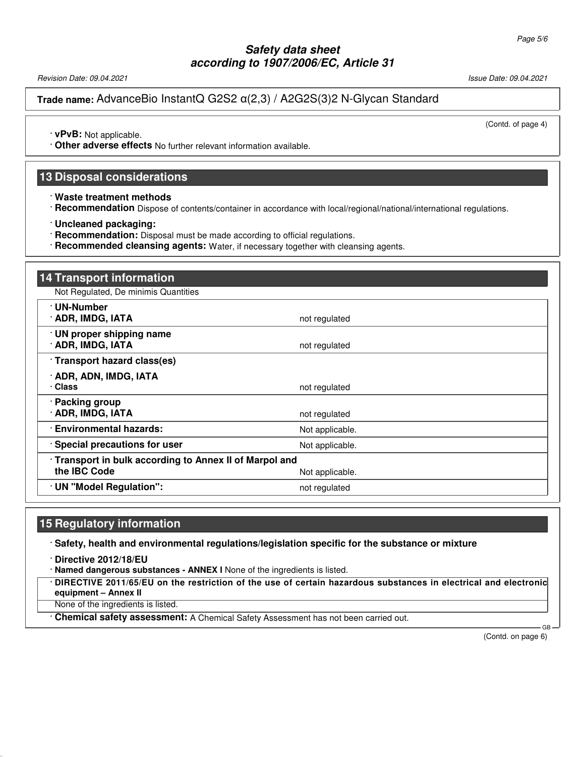Revision Date: 09.04.2021 2012 12:00:00 12:00 12:00 12:00 12:00 12:00 12:00 12:00 12:00 12:00 12:00 12:00 12:0

**Trade name:** AdvanceBio InstantQ G2S2 α(2,3) / A2G2S(3)2 N-Glycan Standard

(Contd. of page 4)

· **vPvB:** Not applicable.

· **Other adverse effects** No further relevant information available.

### **13 Disposal considerations**

· **Waste treatment methods**

· **Recommendation** Dispose of contents/container in accordance with local/regional/national/international regulations.

· **Uncleaned packaging:**

- · **Recommendation:** Disposal must be made according to official regulations.
- · **Recommended cleansing agents:** Water, if necessary together with cleansing agents.

| 14 Transport information                                                     |                 |  |
|------------------------------------------------------------------------------|-----------------|--|
| Not Regulated, De minimis Quantities                                         |                 |  |
| · UN-Number<br>· ADR, IMDG, IATA                                             | not regulated   |  |
| · UN proper shipping name<br>· ADR, IMDG, IATA                               | not regulated   |  |
| · Transport hazard class(es)                                                 |                 |  |
| · ADR, ADN, IMDG, IATA<br>· Class                                            | not regulated   |  |
| · Packing group<br>· ADR, IMDG, IATA                                         | not regulated   |  |
| · Environmental hazards:                                                     | Not applicable. |  |
| · Special precautions for user                                               | Not applicable. |  |
| Transport in bulk according to Annex II of Marpol and<br>the <b>IBC</b> Code | Not applicable. |  |
| · UN "Model Regulation":                                                     | not regulated   |  |

### **15 Regulatory information**

· **Safety, health and environmental regulations/legislation specific for the substance or mixture**

· **Directive 2012/18/EU**

52.0.1.1

· **Named dangerous substances - ANNEX I** None of the ingredients is listed.

· **DIRECTIVE 2011/65/EU on the restriction of the use of certain hazardous substances in electrical and electronic equipment – Annex II**

None of the ingredients is listed.

· **Chemical safety assessment:** A Chemical Safety Assessment has not been carried out.

(Contd. on page 6)

GB